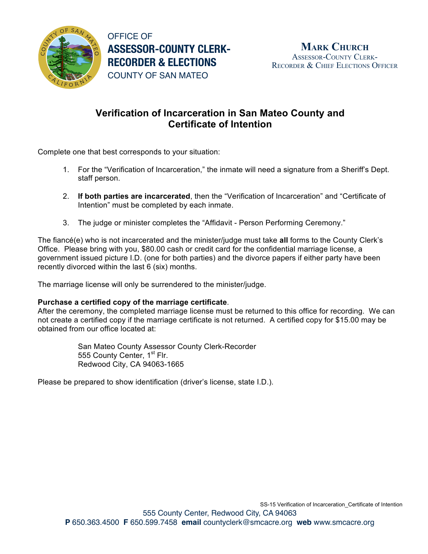

OFFICE OF **ASSESSOR-COUNTY CLERK-RECORDER & ELECTIONS** COUNTY OF SAN MATEO

## **Verification of Incarceration in San Mateo County and Certificate of Intention**

Complete one that best corresponds to your situation:

- 1. For the "Verification of Incarceration," the inmate will need a signature from a Sheriff's Dept. staff person.
- 2. **If both parties are incarcerated**, then the "Verification of Incarceration" and "Certificate of Intention" must be completed by each inmate.
- 3. The judge or minister completes the "Affidavit Person Performing Ceremony."

The fiancé(e) who is not incarcerated and the minister/judge must take **all** forms to the County Clerk's Office. Please bring with you, \$80.00 cash or credit card for the confidential marriage license, a government issued picture I.D. (one for both parties) and the divorce papers if either party have been recently divorced within the last 6 (six) months.

The marriage license will only be surrendered to the minister/judge.

## **Purchase a certified copy of the marriage certificate**.

After the ceremony, the completed marriage license must be returned to this office for recording. We can not create a certified copy if the marriage certificate is not returned. A certified copy for \$15.00 may be obtained from our office located at:

> San Mateo County Assessor County Clerk-Recorder 555 County Center, 1<sup>st</sup> Flr. Redwood City, CA 94063-1665

Please be prepared to show identification (driver's license, state I.D.).